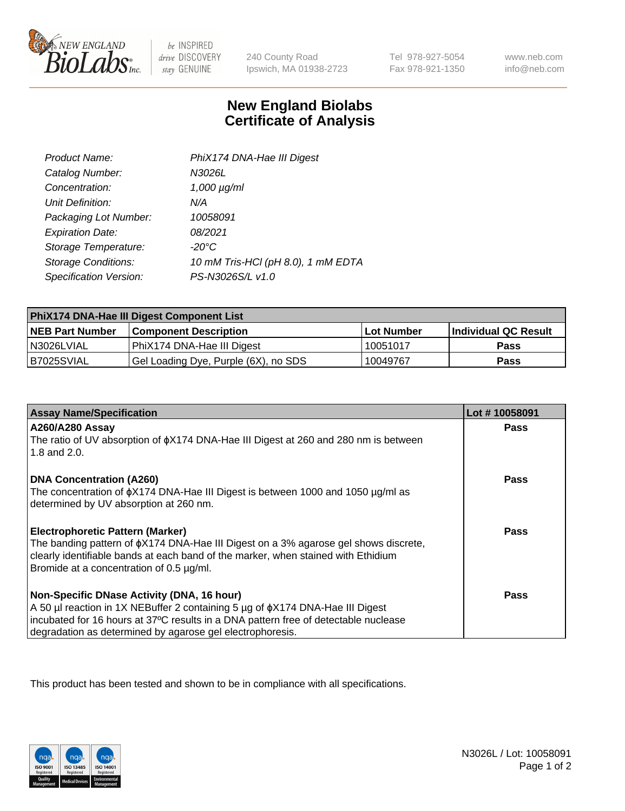

 $be$  INSPIRED drive DISCOVERY stay GENUINE

240 County Road Ipswich, MA 01938-2723

Tel 978-927-5054 Fax 978-921-1350

www.neb.com info@neb.com

## **New England Biolabs Certificate of Analysis**

| Product Name:              | PhiX174 DNA-Hae III Digest         |
|----------------------------|------------------------------------|
| Catalog Number:            | N3026L                             |
| Concentration:             | $1,000 \mu g/ml$                   |
| Unit Definition:           | N/A                                |
| Packaging Lot Number:      | 10058091                           |
| <b>Expiration Date:</b>    | 08/2021                            |
| Storage Temperature:       | $-20^{\circ}$ C                    |
| <b>Storage Conditions:</b> | 10 mM Tris-HCl (pH 8.0), 1 mM EDTA |
| Specification Version:     | PS-N3026S/L v1.0                   |

| PhiX174 DNA-Hae III Digest Component List |                                      |            |                      |  |
|-------------------------------------------|--------------------------------------|------------|----------------------|--|
| <b>NEB Part Number</b>                    | <b>Component Description</b>         | Lot Number | Individual QC Result |  |
| N3026LVIAL                                | PhiX174 DNA-Hae III Digest           | 10051017   | <b>Pass</b>          |  |
| B7025SVIAL                                | Gel Loading Dye, Purple (6X), no SDS | 10049767   | <b>Pass</b>          |  |

| <b>Assay Name/Specification</b>                                                                                               | Lot #10058091 |
|-------------------------------------------------------------------------------------------------------------------------------|---------------|
| <b>A260/A280 Assay</b>                                                                                                        | <b>Pass</b>   |
| The ratio of UV absorption of $\phi$ X174 DNA-Hae III Digest at 260 and 280 nm is between<br>1.8 and 2.0.                     |               |
| <b>DNA Concentration (A260)</b>                                                                                               | Pass          |
| The concentration of $\phi$ X174 DNA-Hae III Digest is between 1000 and 1050 µg/ml as                                         |               |
| determined by UV absorption at 260 nm.                                                                                        |               |
| <b>Electrophoretic Pattern (Marker)</b>                                                                                       | Pass          |
| The banding pattern of $\phi$ X174 DNA-Hae III Digest on a 3% agarose gel shows discrete,                                     |               |
| clearly identifiable bands at each band of the marker, when stained with Ethidium<br>Bromide at a concentration of 0.5 µg/ml. |               |
|                                                                                                                               |               |
| Non-Specific DNase Activity (DNA, 16 hour)                                                                                    | Pass          |
| A 50 µl reaction in 1X NEBuffer 2 containing 5 µg of $\phi$ X174 DNA-Hae III Digest                                           |               |
| incubated for 16 hours at 37°C results in a DNA pattern free of detectable nuclease                                           |               |
| degradation as determined by agarose gel electrophoresis.                                                                     |               |

This product has been tested and shown to be in compliance with all specifications.